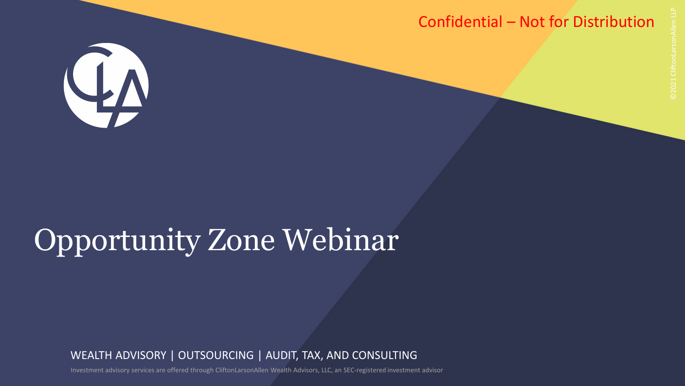### Confidential – Not for Distribution



# Opportunity Zone Webinar

WEALTH ADVISORY | OUTSOURCING | AUDIT, TAX, AND CONSULTING

Investment advisory services are offered through CliftonLarsonAllen Wealth Advisors, LLC, an SEC-registered investment advisor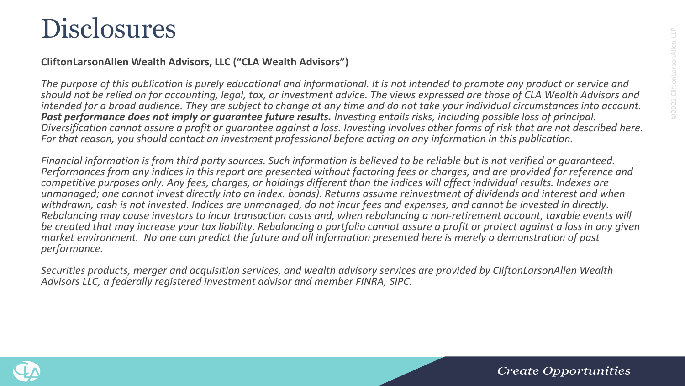### **Disclosures**

#### **CliftonLarsonAllen Wealth Advisors, LLC ("CLA Wealth Advisors")**

*The purpose of this publication is purely educational and informational. It is not intended to promote any product or service and should not be relied on for accounting, legal, tax, or investment advice. The views expressed are those of CLA Wealth Advisors and*  intended for a broad audience. They are subject to change at any time and do not take your individual circumstances into account.<br>Past performance does not imply or quarantee future results. Investing entails risks, includ *Diversification cannot assure a profit or guarantee against a loss. Investing involves other forms of risk that are not described here. For that reason, you should contact an investment professional before acting on any information in this publication.*

Financial information is from third party sources. Such information is believed to be reliable but is not verified or guaranteed.<br>Performances from any indices in this report are presented without factoring fees or charges *competitive purposes only. Any fees, charges, or holdings different than the indices will affect individual results. Indexes are unmanaged; one cannot invest directly into an index. bonds). Returns assume reinvestment of dividends and interest and when withdrawn, cash is not invested. Indices are unmanaged, do not incur fees and expenses, and cannot be invested in directly. Rebalancing may cause investors to incur transaction costs and, when rebalancing a non-retirement account, taxable events will be created that may increase your tax liability. Rebalancing a portfolio cannot assure a profit or protect against a loss in any given market environment. No one can predict the future and all information presented here is merely a demonstration of past performance.* 

*Securities products, merger and acquisition services, and wealth advisory services are provided by CliftonLarsonAllen Wealth Advisors LLC, a federally registered investment advisor and member FINRA, SIPC.*



Create Opportunities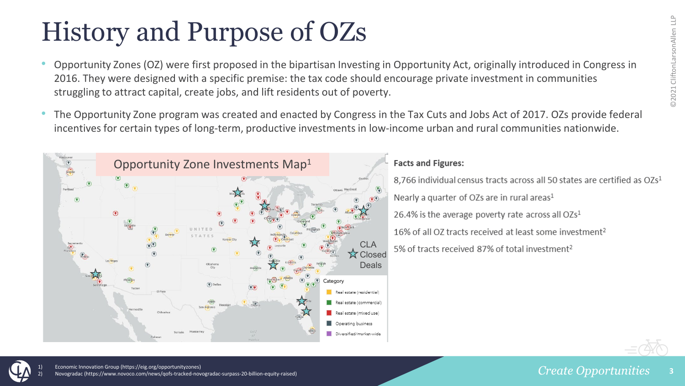## History and Purpose of OZs

- Opportunity Zones (OZ) were first proposed in the bipartisan Investing in Opportunity Act, originally introduced in Congress in 2016. They were designed with a specific premise: the tax code should encourage private investment in communities struggling to attract capital, create jobs, and lift residents out of poverty.
- The Opportunity Zone program was created and enacted by Congress in the Tax Cuts and Jobs Act of 2017. OZs provide federal incentives for certain types of long-term, productive investments in low-income urban and rural communities nationwide.



#### **Facts and Figures:**

8.766 individual census tracts across all 50 states are certified as OZs<sup>1</sup> Nearly a quarter of OZs are in rural areas<sup>1</sup> 26.4% is the average poverty rate across all  $OZs<sup>1</sup>$ 16% of all OZ tracts received at least some investment<sup>2</sup> 5% of tracts received 87% of total investment<sup>2</sup>





1) Economic Innovation Group (https://eig.org/opportunityzones) tps://www.novoco.com/news/gofs-tracked-novogradac-surpass-20-billion-equity-raised)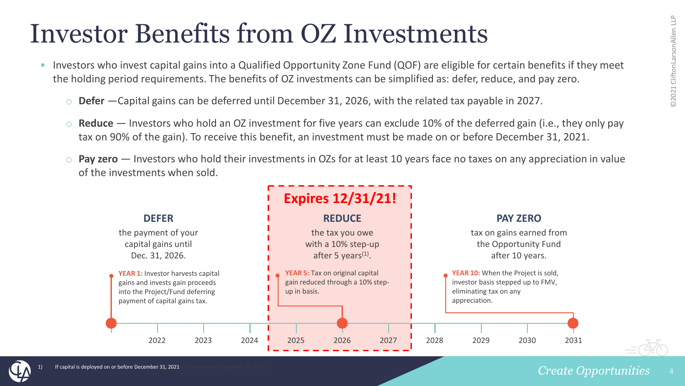### Investor Benefits from OZ Investments

- Investors who invest capital gains into a Qualified Opportunity Zone Fund (QOF) are eligible for certain benefits if they meet the holding period requirements. The benefits of OZ investments can be simplified as: defer, reduce, and pay zero.
	- o **Defer** —Capital gains can be deferred until December 31, 2026, with the related tax payable in 2027.
	- o **Reduce** Investors who hold an OZ investment for five years can exclude 10% of the deferred gain (i.e., they only pay tax on 90% of the gain). To receive this benefit, an investment must be made on or before December 31, 2021.
	- o **Pay zero** Investors who hold their investments in OZs for at least 10 years face no taxes on any appreciation in value of the investments when sold.



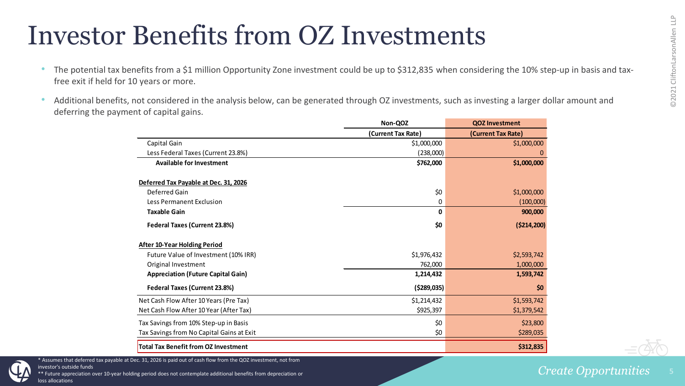### Investor Benefits from OZ Investments

- The potential tax benefits from a \$1 million Opportunity Zone investment could be up to \$312,835 when considering the 10% step-up in basis and taxfree exit if held for 10 years or more.
- Additional benefits, not considered in the analysis below, can be generated through OZ investments, such as investing a larger dollar amount and deferring the payment of capital gains.

|                                             | Non-QOZ            | <b>QOZ Investment</b> |
|---------------------------------------------|--------------------|-----------------------|
|                                             | (Current Tax Rate) | (Current Tax Rate)    |
| Capital Gain                                | \$1,000,000        | \$1,000,000           |
| Less Federal Taxes (Current 23.8%)          | (238,000)          | 0                     |
| <b>Available for Investment</b>             | \$762,000          | \$1,000,000           |
| Deferred Tax Payable at Dec. 31, 2026       |                    |                       |
| Deferred Gain                               | \$0                | \$1,000,000           |
| Less Permanent Exclusion                    | 0                  | (100,000)             |
| <b>Taxable Gain</b>                         | 0                  | 900,000               |
| Federal Taxes (Current 23.8%)               | \$0                | ( \$214, 200)         |
| After 10-Year Holding Period                |                    |                       |
| Future Value of Investment (10% IRR)        | \$1,976,432        | \$2,593,742           |
| Original Investment                         | 762,000            | 1,000,000             |
| <b>Appreciation (Future Capital Gain)</b>   | 1,214,432          | 1,593,742             |
| Federal Taxes (Current 23.8%)               | ( \$289,035)       | \$0                   |
| Net Cash Flow After 10 Years (Pre Tax)      | \$1,214,432        | \$1,593,742           |
| Net Cash Flow After 10 Year (After Tax)     | \$925,397          | \$1,379,542           |
| Tax Savings from 10% Step-up in Basis       | \$0                | \$23,800              |
| Tax Savings from No Capital Gains at Exit   | \$0                | \$289,035             |
| <b>Total Tax Benefit from OZ Investment</b> |                    | \$312,835             |

\* Assumes that deferred tax payable at Dec. 31, 2026 is paid out of cash flow from the QOZ investment, not from investor's outside funds

ation over 10-year holding period does not contemplate additional benefits from depreciation or allocations

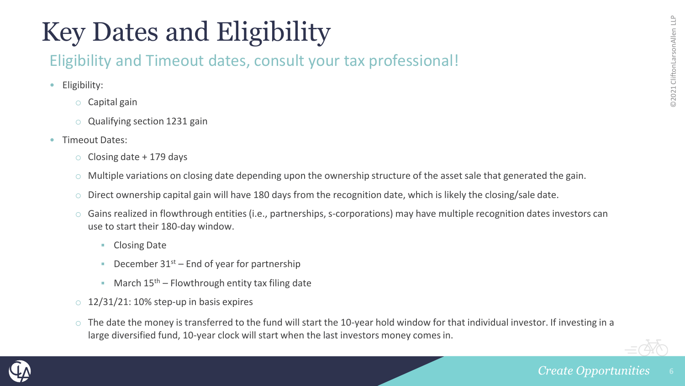## Key Dates and Eligibility

### Eligibility and Timeout dates, consult your tax professional!

- Eligibility:
	- o Capital gain
	- o Qualifying section 1231 gain
- Timeout Dates:
	- Closing date  $+$  179 days
	- $\circ$  Multiple variations on closing date depending upon the ownership structure of the asset sale that generated the gain.
	- $\circ$  Direct ownership capital gain will have 180 days from the recognition date, which is likely the closing/sale date.
	- $\circ$  Gains realized in flowthrough entities (i.e., partnerships, s-corporations) may have multiple recognition dates investors can use to start their 180-day window.
		- Closing Date
		- December  $31^{st}$  End of year for partnership
		- March  $15<sup>th</sup>$  Flowthrough entity tax filing date
	- $\circ$  12/31/21: 10% step-up in basis expires
	- $\circ$  The date the money is transferred to the fund will start the 10-year hold window for that individual investor. If investing in a large diversified fund, 10-year clock will start when the last investors money comes in.

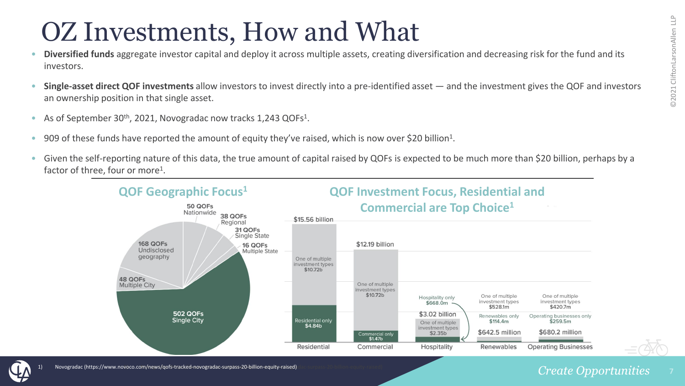### OZ Investments, How and What

- **Diversified funds** aggregate investor capital and deploy it across multiple assets, creating diversification and decreasing risk for the fund and its investors.
- **Single-asset direct QOF investments** allow investors to invest directly into a pre-identified asset and the investment gives the QOF and investors an ownership position in that single asset.
- As of September 30<sup>th</sup>, 2021, Novogradac now tracks 1,243 QOFs<sup>1</sup>.
- 909 of these funds have reported the amount of equity they've raised, which is now over \$20 billion<sup>1</sup>.
- Given the self-reporting nature of this data, the true amount of capital raised by QOFs is expected to be much more than \$20 billion, perhaps by a factor of three, four or more<sup>1</sup>.





#### **Create Opportunities**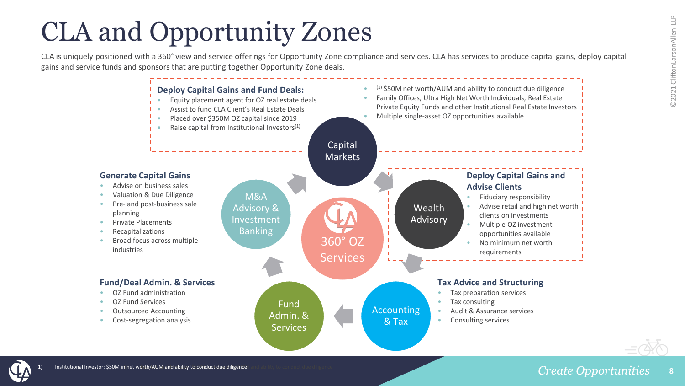### CLA and Opportunity Zones

CLA is uniquely positioned with a 360° view and service offerings for Opportunity Zone compliance and services. CLA has services to produce capital gains, deploy capital gains and service funds and sponsors that are putting together Opportunity Zone deals.



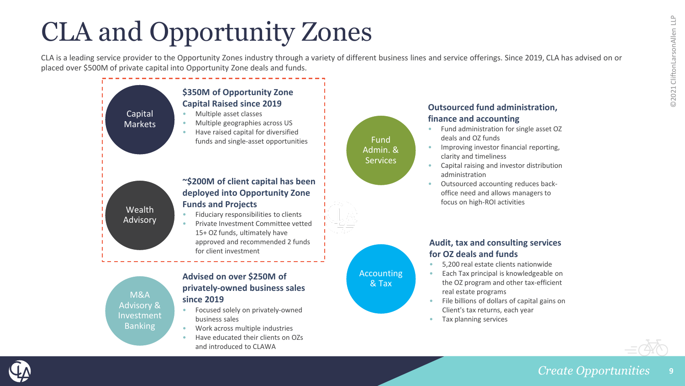## CLA and Opportunity Zones

CLA is a leading service provider to the Opportunity Zones industry through a variety of different business lines and service offerings. Since 2019, CLA has advised on or placed over \$500M of private capital into Opportunity Zone deals and funds.



M&A Advisory & Investment Banking

#### **Advised on over \$250M of privately-owned business sales since 2019**

- Focused solely on privately-owned business sales
- Work across multiple industries
- Have educated their clients on OZs and introduced to CLAWA

### Fund Admin. & **Services**



#### **Audit, tax and consulting services for OZ deals and funds**

• 5,200 real estate clients nationwide

**Outsourced fund administration,** 

• Fund administration for single asset OZ

• Improving investor financial reporting,

• Capital raising and investor distribution

• Outsourced accounting reduces backoffice need and allows managers to focus on high-ROI activities

**finance and accounting**

deals and OZ funds

clarity and timeliness

administration

- Each Tax principal is knowledgeable on the OZ program and other tax-efficient real estate programs
- File billions of dollars of capital gains on Client's tax returns, each year
- Tax planning services





#### **Create Opportunities 9**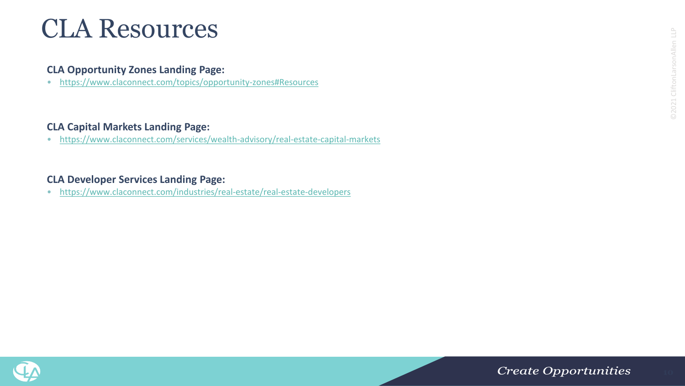### CLA Resources

#### **CLA Opportunity Zones Landing Page:**

• <https://www.claconnect.com/topics/opportunity-zones#Resources>

#### **CLA Capital Markets Landing Page:**

• <https://www.claconnect.com/services/wealth-advisory/real-estate-capital-markets>

#### **CLA Developer Services Landing Page:**

• <https://www.claconnect.com/industries/real-estate/real-estate-developers>

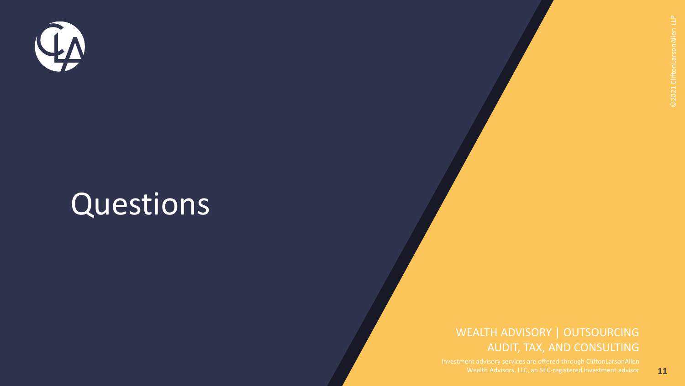

# Questions